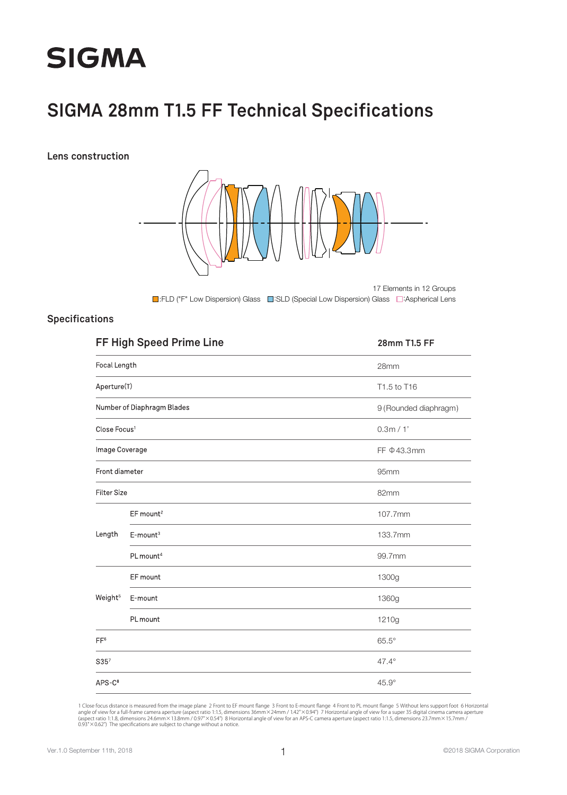# **SIGMA**

### **SIGMA 28mm T1.5 FF Technical Specifications**

**Lens construction**



■:FLD ("F" Low Dispersion) Glass ■:SLD (Special Low Dispersion) Glass ■:Aspherical Lens 17 Elements in 12 Groups

#### **Specifications**

|                          |                                                                                                                                                                                          | 28mm T1.5 FF          |
|--------------------------|------------------------------------------------------------------------------------------------------------------------------------------------------------------------------------------|-----------------------|
| Focal Length             |                                                                                                                                                                                          | 28mm                  |
| Aperture(T)              |                                                                                                                                                                                          | T1.5 to T16           |
|                          |                                                                                                                                                                                          | 9 (Rounded diaphragm) |
| Close Focus <sup>1</sup> | FF High Speed Prime Line<br>Number of Diaphragm Blades<br>Image Coverage<br>EF mount <sup>2</sup><br>$E$ -mount <sup>3</sup><br>PL mount <sup>4</sup><br>EF mount<br>E-mount<br>PL mount | 0.3m / 1'             |
|                          |                                                                                                                                                                                          | FF $\Phi$ 43.3mm      |
| Front diameter           |                                                                                                                                                                                          | 95mm                  |
| <b>Filter Size</b>       |                                                                                                                                                                                          | 82mm                  |
|                          |                                                                                                                                                                                          | 107.7mm               |
| Length                   |                                                                                                                                                                                          | 133.7mm               |
|                          |                                                                                                                                                                                          | 99.7mm                |
| Weight <sup>5</sup>      |                                                                                                                                                                                          | 1300g                 |
|                          |                                                                                                                                                                                          | 1360g                 |
|                          |                                                                                                                                                                                          | 1210g                 |
| FF <sup>6</sup>          |                                                                                                                                                                                          | $65.5^\circ$          |
| S35 <sup>7</sup>         |                                                                                                                                                                                          | 47.4°                 |
| $APS-C8$                 |                                                                                                                                                                                          | $45.9^\circ$          |

1 Close focus distance is measured from the image plane 2 Front to EF mount flange 3 Front to E-mount flange 4 Front to PL mount flange 5 Without lens support foot 6 Horizontal<br>angle of view for a full-frame camera apertur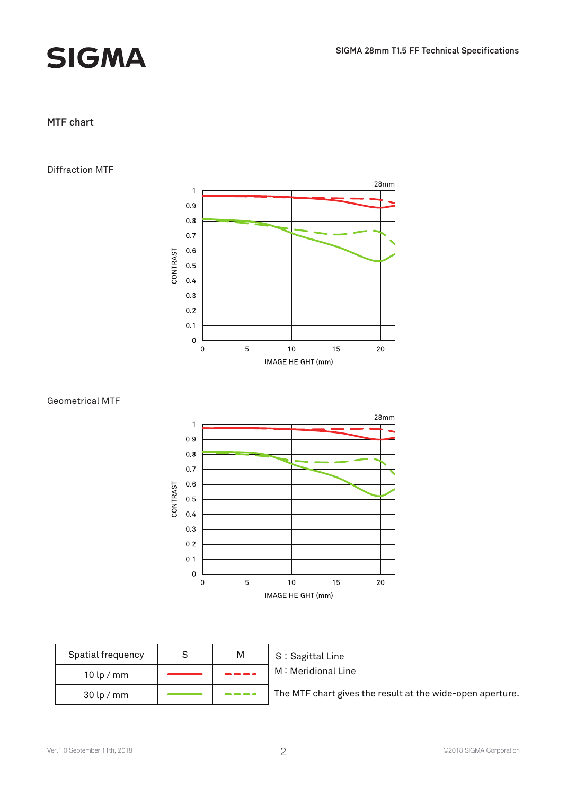

## **SIGMA**

#### **MTF chart**

#### Diffraction MTF



#### Geometrical MTF



| Spatial frequency |  | S |
|-------------------|--|---|
| $10$ lp / mm      |  |   |
| $30$ lp / mm      |  |   |

#### S: Sagittal Line M: Meridional Line

The MTF chart gives the result at the wide-open aperture.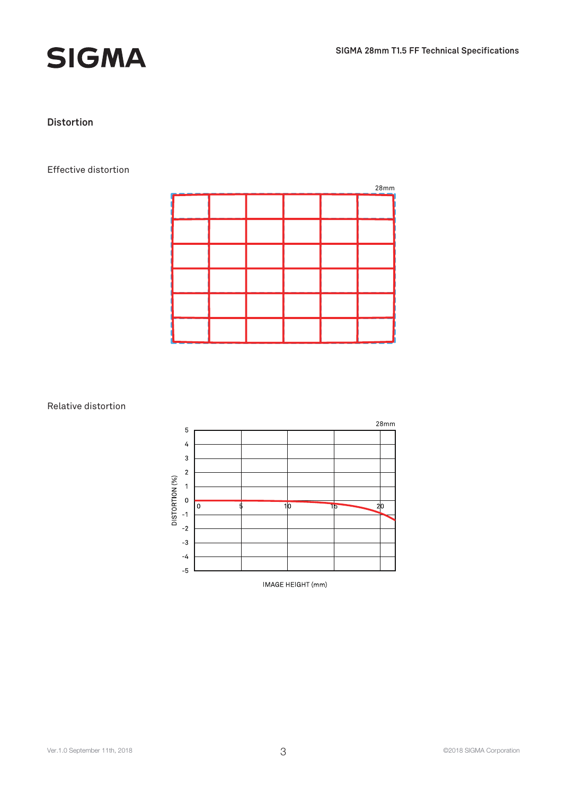



#### **Distortion**

#### Effective distortion

|  |  | 28mm |
|--|--|------|
|  |  |      |
|  |  |      |
|  |  |      |
|  |  |      |
|  |  |      |
|  |  |      |

#### Relative distortion



IMAGE HEIGHT (mm)